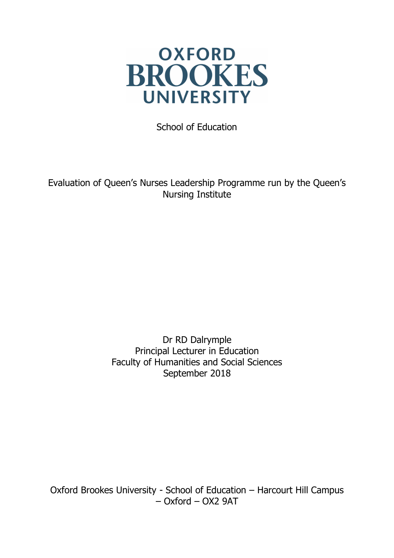

School of Education

Evaluation of Queen's Nurses Leadership Programme run by the Queen's Nursing Institute

> Dr RD Dalrymple Principal Lecturer in Education Faculty of Humanities and Social Sciences September 2018

Oxford Brookes University - School of Education – Harcourt Hill Campus – Oxford – OX2 9AT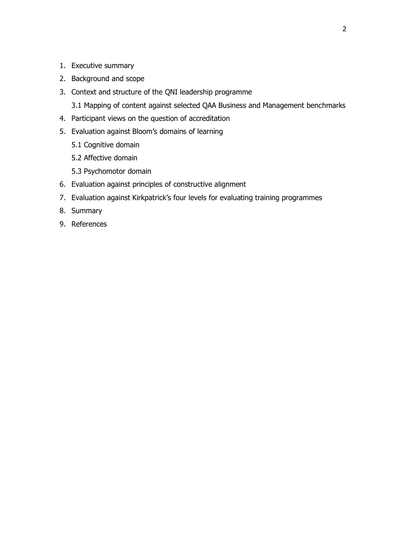- 1. Executive summary
- 2. Background and scope
- 3. Context and structure of the QNI leadership programme

3.1 Mapping of content against selected QAA Business and Management benchmarks

- 4. Participant views on the question of accreditation
- 5. Evaluation against Bloom's domains of learning
	- 5.1 Cognitive domain
	- 5.2 Affective domain
	- 5.3 Psychomotor domain
- 6. Evaluation against principles of constructive alignment
- 7. Evaluation against Kirkpatrick's four levels for evaluating training programmes
- 8. Summary
- 9. References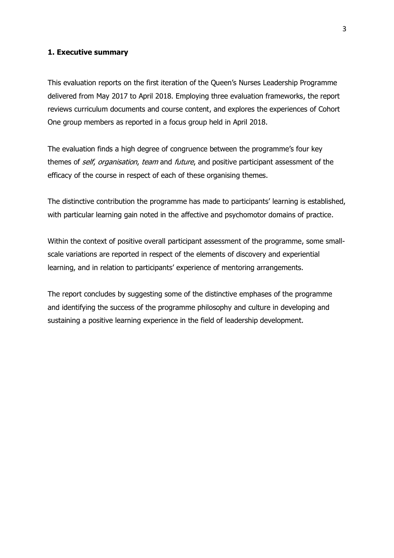## **1. Executive summary**

This evaluation reports on the first iteration of the Queen's Nurses Leadership Programme delivered from May 2017 to April 2018. Employing three evaluation frameworks, the report reviews curriculum documents and course content, and explores the experiences of Cohort One group members as reported in a focus group held in April 2018.

The evaluation finds a high degree of congruence between the programme's four key themes of self, organisation, team and future, and positive participant assessment of the efficacy of the course in respect of each of these organising themes.

The distinctive contribution the programme has made to participants' learning is established, with particular learning gain noted in the affective and psychomotor domains of practice.

Within the context of positive overall participant assessment of the programme, some smallscale variations are reported in respect of the elements of discovery and experiential learning, and in relation to participants' experience of mentoring arrangements.

The report concludes by suggesting some of the distinctive emphases of the programme and identifying the success of the programme philosophy and culture in developing and sustaining a positive learning experience in the field of leadership development.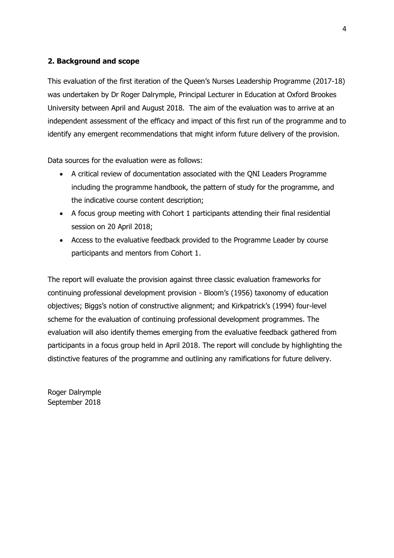## **2. Background and scope**

This evaluation of the first iteration of the Queen's Nurses Leadership Programme (2017-18) was undertaken by Dr Roger Dalrymple, Principal Lecturer in Education at Oxford Brookes University between April and August 2018. The aim of the evaluation was to arrive at an independent assessment of the efficacy and impact of this first run of the programme and to identify any emergent recommendations that might inform future delivery of the provision.

Data sources for the evaluation were as follows:

- A critical review of documentation associated with the QNI Leaders Programme including the programme handbook, the pattern of study for the programme, and the indicative course content description;
- A focus group meeting with Cohort 1 participants attending their final residential session on 20 April 2018;
- Access to the evaluative feedback provided to the Programme Leader by course participants and mentors from Cohort 1.

The report will evaluate the provision against three classic evaluation frameworks for continuing professional development provision - Bloom's (1956) taxonomy of education objectives; Biggs's notion of constructive alignment; and Kirkpatrick's (1994) four-level scheme for the evaluation of continuing professional development programmes. The evaluation will also identify themes emerging from the evaluative feedback gathered from participants in a focus group held in April 2018. The report will conclude by highlighting the distinctive features of the programme and outlining any ramifications for future delivery.

Roger Dalrymple September 2018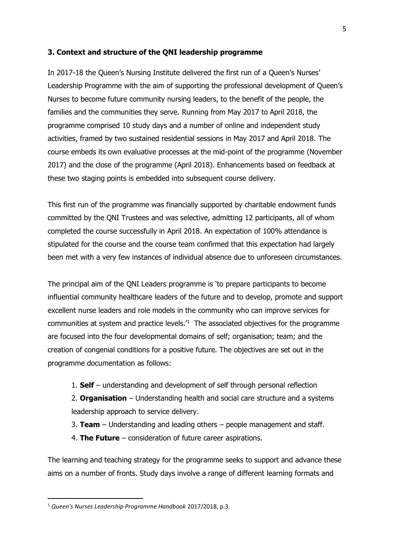## **3. Context and structure of the QNI leadership programme**

In 2017-18 the Queen's Nursing Institute delivered the first run of a Queen's Nurses' Leadership Programme with the aim of supporting the professional development of Queen's Nurses to become future community nursing leaders, to the benefit of the people, the families and the communities they serve. Running from May 2017 to April 2018, the programme comprised 10 study days and a number of online and independent study activities, framed by two sustained residential sessions in May 2017 and April 2018. The course embeds its own evaluative processes at the mid-point of the programme (November 2017) and the close of the programme (April 2018). Enhancements based on feedback at these two staging points is embedded into subsequent course delivery.

This first run of the programme was financially supported by charitable endowment funds committed by the QNI Trustees and was selective, admitting 12 participants, all of whom completed the course successfully in April 2018. An expectation of 100% attendance is stipulated for the course and the course team confirmed that this expectation had largely been met with a very few instances of individual absence due to unforeseen circumstances.

The principal aim of the QNI Leaders programme is 'to prepare participants to become influential community healthcare leaders of the future and to develop, promote and support excellent nurse leaders and role models in the community who can improve services for communities at system and practice levels.<sup> $1$ </sup> The associated objectives for the programme are focused into the four developmental domains of self; organisation; team; and the creation of congenial conditions for a positive future. The objectives are set out in the programme documentation as follows:

1. **Self** – understanding and development of self through personal reflection

2. **Organisation** – Understanding health and social care structure and a systems leadership approach to service delivery.

- 3. **Team** Understanding and leading others people management and staff.
- 4. **The Future** consideration of future career aspirations.

The learning and teaching strategy for the programme seeks to support and advance these aims on a number of fronts. Study days involve a range of different learning formats and

l

<sup>1</sup> *Queen's Nurses Leadership Programme Handbook* 2017/2018, p.3.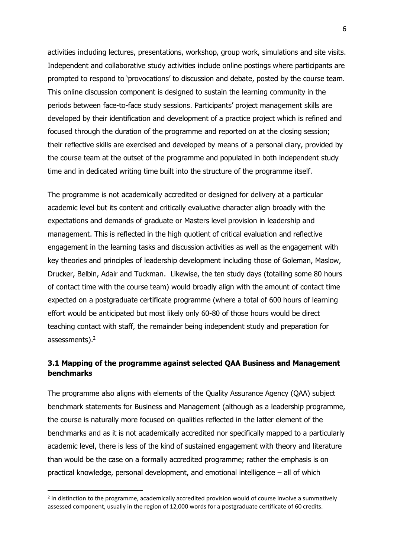activities including lectures, presentations, workshop, group work, simulations and site visits. Independent and collaborative study activities include online postings where participants are prompted to respond to 'provocations' to discussion and debate, posted by the course team. This online discussion component is designed to sustain the learning community in the periods between face-to-face study sessions. Participants' project management skills are developed by their identification and development of a practice project which is refined and focused through the duration of the programme and reported on at the closing session; their reflective skills are exercised and developed by means of a personal diary, provided by the course team at the outset of the programme and populated in both independent study time and in dedicated writing time built into the structure of the programme itself.

The programme is not academically accredited or designed for delivery at a particular academic level but its content and critically evaluative character align broadly with the expectations and demands of graduate or Masters level provision in leadership and management. This is reflected in the high quotient of critical evaluation and reflective engagement in the learning tasks and discussion activities as well as the engagement with key theories and principles of leadership development including those of Goleman, Maslow, Drucker, Belbin, Adair and Tuckman. Likewise, the ten study days (totalling some 80 hours of contact time with the course team) would broadly align with the amount of contact time expected on a postgraduate certificate programme (where a total of 600 hours of learning effort would be anticipated but most likely only 60-80 of those hours would be direct teaching contact with staff, the remainder being independent study and preparation for assessments).<sup>2</sup>

## **3.1 Mapping of the programme against selected QAA Business and Management benchmarks**

The programme also aligns with elements of the Quality Assurance Agency (QAA) subject benchmark statements for Business and Management (although as a leadership programme, the course is naturally more focused on qualities reflected in the latter element of the benchmarks and as it is not academically accredited nor specifically mapped to a particularly academic level, there is less of the kind of sustained engagement with theory and literature than would be the case on a formally accredited programme; rather the emphasis is on practical knowledge, personal development, and emotional intelligence – all of which

 $\overline{a}$ 

<sup>&</sup>lt;sup>2</sup> In distinction to the programme, academically accredited provision would of course involve a summatively assessed component, usually in the region of 12,000 words for a postgraduate certificate of 60 credits.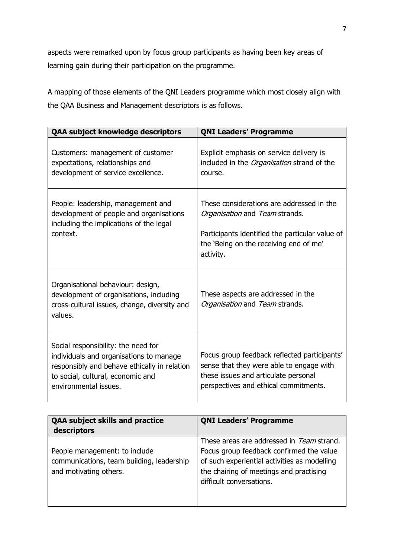aspects were remarked upon by focus group participants as having been key areas of learning gain during their participation on the programme.

A mapping of those elements of the QNI Leaders programme which most closely align with the QAA Business and Management descriptors is as follows.

| QAA subject knowledge descriptors                                                                                                                                                            | <b>QNI Leaders' Programme</b>                                                                                                                                                         |
|----------------------------------------------------------------------------------------------------------------------------------------------------------------------------------------------|---------------------------------------------------------------------------------------------------------------------------------------------------------------------------------------|
| Customers: management of customer<br>expectations, relationships and<br>development of service excellence.                                                                                   | Explicit emphasis on service delivery is<br>included in the <i>Organisation</i> strand of the<br>course.                                                                              |
| People: leadership, management and<br>development of people and organisations<br>including the implications of the legal<br>context.                                                         | These considerations are addressed in the<br>Organisation and Team strands.<br>Participants identified the particular value of<br>the 'Being on the receiving end of me'<br>activity. |
| Organisational behaviour: design,<br>development of organisations, including<br>cross-cultural issues, change, diversity and<br>values.                                                      | These aspects are addressed in the<br>Organisation and Team strands.                                                                                                                  |
| Social responsibility: the need for<br>individuals and organisations to manage<br>responsibly and behave ethically in relation<br>to social, cultural, economic and<br>environmental issues. | Focus group feedback reflected participants'<br>sense that they were able to engage with<br>these issues and articulate personal<br>perspectives and ethical commitments.             |

| <b>QAA subject skills and practice</b><br>descriptors                                                | <b>QNI Leaders' Programme</b>                                                                                                                                                                                |
|------------------------------------------------------------------------------------------------------|--------------------------------------------------------------------------------------------------------------------------------------------------------------------------------------------------------------|
| People management: to include<br>communications, team building, leadership<br>and motivating others. | These areas are addressed in Team strand.<br>Focus group feedback confirmed the value<br>of such experiential activities as modelling<br>the chairing of meetings and practising<br>difficult conversations. |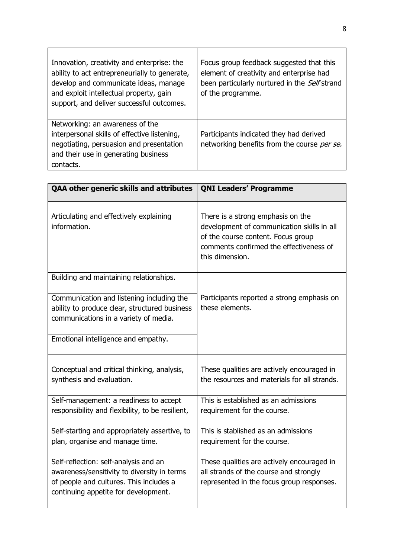| Innovation, creativity and enterprise: the<br>ability to act entrepreneurially to generate,<br>develop and communicate ideas, manage<br>and exploit intellectual property, gain<br>support, and deliver successful outcomes. | Focus group feedback suggested that this<br>element of creativity and enterprise had<br>been particularly nurtured in the Self strand<br>of the programme. |
|------------------------------------------------------------------------------------------------------------------------------------------------------------------------------------------------------------------------------|------------------------------------------------------------------------------------------------------------------------------------------------------------|
| Networking: an awareness of the<br>interpersonal skills of effective listening,<br>negotiating, persuasion and presentation<br>and their use in generating business<br>contacts.                                             | Participants indicated they had derived<br>networking benefits from the course per se.                                                                     |

| QAA other generic skills and attributes                                                                                                                                 | <b>QNI Leaders' Programme</b>                                                                                                                                                       |
|-------------------------------------------------------------------------------------------------------------------------------------------------------------------------|-------------------------------------------------------------------------------------------------------------------------------------------------------------------------------------|
| Articulating and effectively explaining<br>information.                                                                                                                 | There is a strong emphasis on the<br>development of communication skills in all<br>of the course content. Focus group<br>comments confirmed the effectiveness of<br>this dimension. |
| Building and maintaining relationships.                                                                                                                                 |                                                                                                                                                                                     |
| Communication and listening including the<br>ability to produce clear, structured business<br>communications in a variety of media.                                     | Participants reported a strong emphasis on<br>these elements.                                                                                                                       |
| Emotional intelligence and empathy.                                                                                                                                     |                                                                                                                                                                                     |
| Conceptual and critical thinking, analysis,<br>synthesis and evaluation.                                                                                                | These qualities are actively encouraged in<br>the resources and materials for all strands.                                                                                          |
| Self-management: a readiness to accept<br>responsibility and flexibility, to be resilient,                                                                              | This is established as an admissions<br>requirement for the course.                                                                                                                 |
| Self-starting and appropriately assertive, to<br>plan, organise and manage time.                                                                                        | This is stablished as an admissions<br>requirement for the course.                                                                                                                  |
| Self-reflection: self-analysis and an<br>awareness/sensitivity to diversity in terms<br>of people and cultures. This includes a<br>continuing appetite for development. | These qualities are actively encouraged in<br>all strands of the course and strongly<br>represented in the focus group responses.                                                   |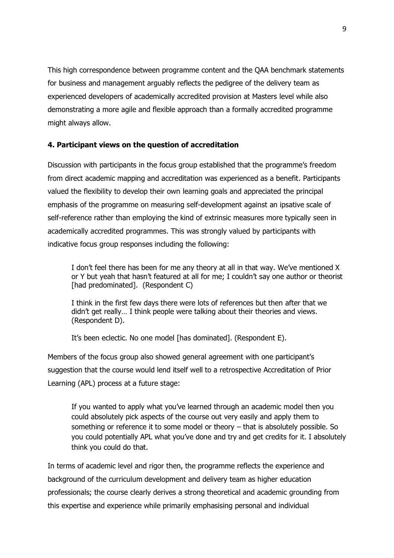This high correspondence between programme content and the QAA benchmark statements for business and management arguably reflects the pedigree of the delivery team as experienced developers of academically accredited provision at Masters level while also demonstrating a more agile and flexible approach than a formally accredited programme might always allow.

## **4. Participant views on the question of accreditation**

Discussion with participants in the focus group established that the programme's freedom from direct academic mapping and accreditation was experienced as a benefit. Participants valued the flexibility to develop their own learning goals and appreciated the principal emphasis of the programme on measuring self-development against an ipsative scale of self-reference rather than employing the kind of extrinsic measures more typically seen in academically accredited programmes. This was strongly valued by participants with indicative focus group responses including the following:

I don't feel there has been for me any theory at all in that way. We've mentioned X or Y but yeah that hasn't featured at all for me; I couldn't say one author or theorist [had predominated]. (Respondent C)

I think in the first few days there were lots of references but then after that we didn't get really… I think people were talking about their theories and views. (Respondent D).

It's been eclectic. No one model [has dominated]. (Respondent E).

Members of the focus group also showed general agreement with one participant's suggestion that the course would lend itself well to a retrospective Accreditation of Prior Learning (APL) process at a future stage:

If you wanted to apply what you've learned through an academic model then you could absolutely pick aspects of the course out very easily and apply them to something or reference it to some model or theory – that is absolutely possible. So you could potentially APL what you've done and try and get credits for it. I absolutely think you could do that.

In terms of academic level and rigor then, the programme reflects the experience and background of the curriculum development and delivery team as higher education professionals; the course clearly derives a strong theoretical and academic grounding from this expertise and experience while primarily emphasising personal and individual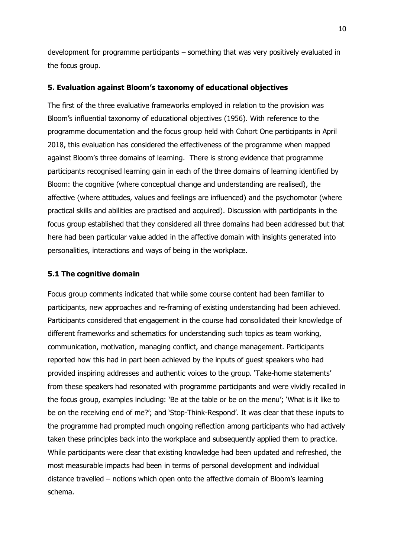development for programme participants – something that was very positively evaluated in the focus group.

## **5. Evaluation against Bloom's taxonomy of educational objectives**

The first of the three evaluative frameworks employed in relation to the provision was Bloom's influential taxonomy of educational objectives (1956). With reference to the programme documentation and the focus group held with Cohort One participants in April 2018, this evaluation has considered the effectiveness of the programme when mapped against Bloom's three domains of learning. There is strong evidence that programme participants recognised learning gain in each of the three domains of learning identified by Bloom: the cognitive (where conceptual change and understanding are realised), the affective (where attitudes, values and feelings are influenced) and the psychomotor (where practical skills and abilities are practised and acquired). Discussion with participants in the focus group established that they considered all three domains had been addressed but that here had been particular value added in the affective domain with insights generated into personalities, interactions and ways of being in the workplace.

#### **5.1 The cognitive domain**

Focus group comments indicated that while some course content had been familiar to participants, new approaches and re-framing of existing understanding had been achieved. Participants considered that engagement in the course had consolidated their knowledge of different frameworks and schematics for understanding such topics as team working, communication, motivation, managing conflict, and change management. Participants reported how this had in part been achieved by the inputs of guest speakers who had provided inspiring addresses and authentic voices to the group. 'Take-home statements' from these speakers had resonated with programme participants and were vividly recalled in the focus group, examples including: 'Be at the table or be on the menu'; 'What is it like to be on the receiving end of me?'; and 'Stop-Think-Respond'. It was clear that these inputs to the programme had prompted much ongoing reflection among participants who had actively taken these principles back into the workplace and subsequently applied them to practice. While participants were clear that existing knowledge had been updated and refreshed, the most measurable impacts had been in terms of personal development and individual distance travelled – notions which open onto the affective domain of Bloom's learning schema.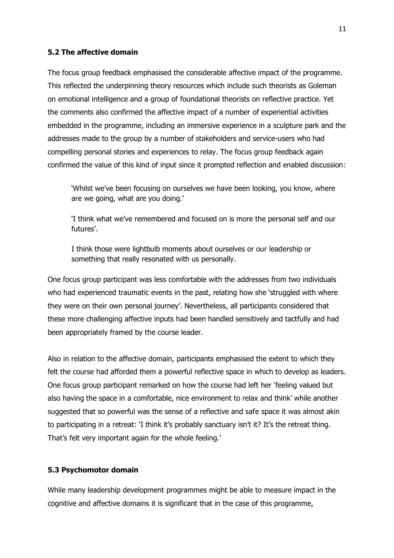#### **5.2 The affective domain**

The focus group feedback emphasised the considerable affective impact of the programme. This reflected the underpinning theory resources which include such theorists as Goleman on emotional intelligence and a group of foundational theorists on reflective practice. Yet the comments also confirmed the affective impact of a number of experiential activities embedded in the programme, including an immersive experience in a sculpture park and the addresses made to the group by a number of stakeholders and service-users who had compelling personal stories and experiences to relay. The focus group feedback again confirmed the value of this kind of input since it prompted reflection and enabled discussion:

'Whilst we've been focusing on ourselves we have been looking, you know, where are we going, what are you doing.'

'I think what we've remembered and focused on is more the personal self and our futures'.

I think those were lightbulb moments about ourselves or our leadership or something that really resonated with us personally.

One focus group participant was less comfortable with the addresses from two individuals who had experienced traumatic events in the past, relating how she 'struggled with where they were on their own personal journey'. Nevertheless, all participants considered that these more challenging affective inputs had been handled sensitively and tactfully and had been appropriately framed by the course leader.

Also in relation to the affective domain, participants emphasised the extent to which they felt the course had afforded them a powerful reflective space in which to develop as leaders. One focus group participant remarked on how the course had left her 'feeling valued but also having the space in a comfortable, nice environment to relax and think' while another suggested that so powerful was the sense of a reflective and safe space it was almost akin to participating in a retreat: 'I think it's probably sanctuary isn't it? It's the retreat thing. That's felt very important again for the whole feeling.'

## **5.3 Psychomotor domain**

While many leadership development programmes might be able to measure impact in the cognitive and affective domains it is significant that in the case of this programme,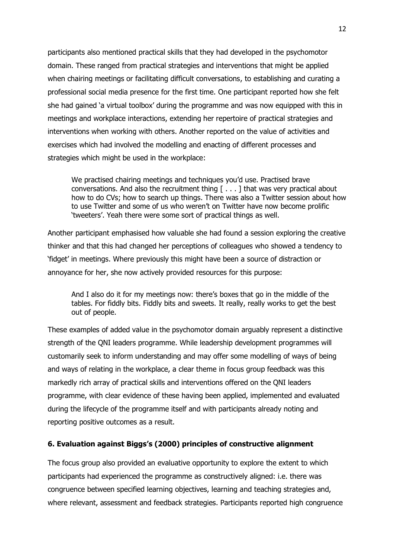participants also mentioned practical skills that they had developed in the psychomotor domain. These ranged from practical strategies and interventions that might be applied when chairing meetings or facilitating difficult conversations, to establishing and curating a professional social media presence for the first time. One participant reported how she felt she had gained 'a virtual toolbox' during the programme and was now equipped with this in meetings and workplace interactions, extending her repertoire of practical strategies and interventions when working with others. Another reported on the value of activities and exercises which had involved the modelling and enacting of different processes and strategies which might be used in the workplace:

We practised chairing meetings and techniques you'd use. Practised brave conversations. And also the recruitment thing [ . . . ] that was very practical about how to do CVs; how to search up things. There was also a Twitter session about how to use Twitter and some of us who weren't on Twitter have now become prolific 'tweeters'. Yeah there were some sort of practical things as well.

Another participant emphasised how valuable she had found a session exploring the creative thinker and that this had changed her perceptions of colleagues who showed a tendency to 'fidget' in meetings. Where previously this might have been a source of distraction or annoyance for her, she now actively provided resources for this purpose:

And I also do it for my meetings now: there's boxes that go in the middle of the tables. For fiddly bits. Fiddly bits and sweets. It really, really works to get the best out of people.

These examples of added value in the psychomotor domain arguably represent a distinctive strength of the QNI leaders programme. While leadership development programmes will customarily seek to inform understanding and may offer some modelling of ways of being and ways of relating in the workplace, a clear theme in focus group feedback was this markedly rich array of practical skills and interventions offered on the QNI leaders programme, with clear evidence of these having been applied, implemented and evaluated during the lifecycle of the programme itself and with participants already noting and reporting positive outcomes as a result.

## **6. Evaluation against Biggs's (2000) principles of constructive alignment**

The focus group also provided an evaluative opportunity to explore the extent to which participants had experienced the programme as constructively aligned: i.e. there was congruence between specified learning objectives, learning and teaching strategies and, where relevant, assessment and feedback strategies. Participants reported high congruence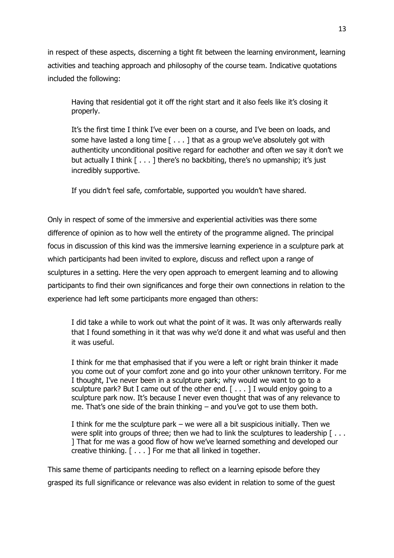in respect of these aspects, discerning a tight fit between the learning environment, learning activities and teaching approach and philosophy of the course team. Indicative quotations included the following:

Having that residential got it off the right start and it also feels like it's closing it properly.

It's the first time I think I've ever been on a course, and I've been on loads, and some have lasted a long time [ . . . ] that as a group we've absolutely got with authenticity unconditional positive regard for eachother and often we say it don't we but actually I think [ . . . ] there's no backbiting, there's no upmanship; it's just incredibly supportive.

If you didn't feel safe, comfortable, supported you wouldn't have shared.

Only in respect of some of the immersive and experiential activities was there some difference of opinion as to how well the entirety of the programme aligned. The principal focus in discussion of this kind was the immersive learning experience in a sculpture park at which participants had been invited to explore, discuss and reflect upon a range of sculptures in a setting. Here the very open approach to emergent learning and to allowing participants to find their own significances and forge their own connections in relation to the experience had left some participants more engaged than others:

I did take a while to work out what the point of it was. It was only afterwards really that I found something in it that was why we'd done it and what was useful and then it was useful.

I think for me that emphasised that if you were a left or right brain thinker it made you come out of your comfort zone and go into your other unknown territory. For me I thought, I've never been in a sculpture park; why would we want to go to a sculpture park? But I came out of the other end.  $[ \ldots ]$  I would enjoy going to a sculpture park now. It's because I never even thought that was of any relevance to me. That's one side of the brain thinking – and you've got to use them both.

I think for me the sculpture park – we were all a bit suspicious initially. Then we were split into groups of three; then we had to link the sculptures to leadership [... ] That for me was a good flow of how we've learned something and developed our creative thinking. [ . . . ] For me that all linked in together.

This same theme of participants needing to reflect on a learning episode before they grasped its full significance or relevance was also evident in relation to some of the guest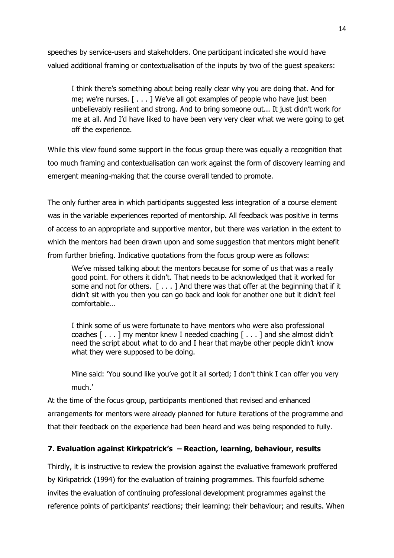speeches by service-users and stakeholders. One participant indicated she would have valued additional framing or contextualisation of the inputs by two of the guest speakers:

I think there's something about being really clear why you are doing that. And for me; we're nurses. [ . . . ] We've all got examples of people who have just been unbelievably resilient and strong. And to bring someone out... It just didn't work for me at all. And I'd have liked to have been very very clear what we were going to get off the experience.

While this view found some support in the focus group there was equally a recognition that too much framing and contextualisation can work against the form of discovery learning and emergent meaning-making that the course overall tended to promote.

The only further area in which participants suggested less integration of a course element was in the variable experiences reported of mentorship. All feedback was positive in terms of access to an appropriate and supportive mentor, but there was variation in the extent to which the mentors had been drawn upon and some suggestion that mentors might benefit from further briefing. Indicative quotations from the focus group were as follows:

We've missed talking about the mentors because for some of us that was a really good point. For others it didn't. That needs to be acknowledged that it worked for some and not for others.  $[\ldots]$  And there was that offer at the beginning that if it didn't sit with you then you can go back and look for another one but it didn't feel comfortable…

I think some of us were fortunate to have mentors who were also professional coaches [ . . . ] my mentor knew I needed coaching [ . . . ] and she almost didn't need the script about what to do and I hear that maybe other people didn't know what they were supposed to be doing.

Mine said: 'You sound like you've got it all sorted; I don't think I can offer you very much.'

At the time of the focus group, participants mentioned that revised and enhanced arrangements for mentors were already planned for future iterations of the programme and that their feedback on the experience had been heard and was being responded to fully.

## **7. Evaluation against Kirkpatrick's – Reaction, learning, behaviour, results**

Thirdly, it is instructive to review the provision against the evaluative framework proffered by Kirkpatrick (1994) for the evaluation of training programmes. This fourfold scheme invites the evaluation of continuing professional development programmes against the reference points of participants' reactions; their learning; their behaviour; and results. When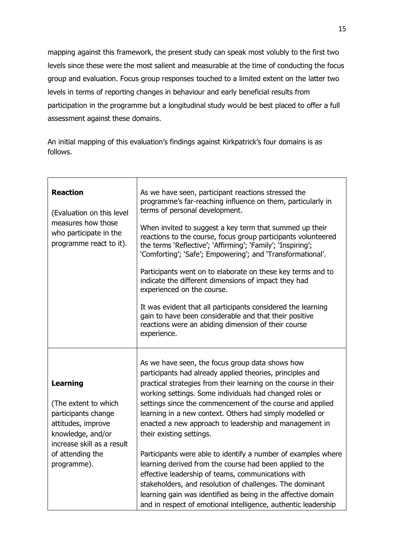mapping against this framework, the present study can speak most volubly to the first two levels since these were the most salient and measurable at the time of conducting the focus group and evaluation. Focus group responses touched to a limited extent on the latter two levels in terms of reporting changes in behaviour and early beneficial results from participation in the programme but a longitudinal study would be best placed to offer a full assessment against these domains.

An initial mapping of this evaluation's findings against Kirkpatrick's four domains is as follows.

| <b>Reaction</b><br>(Evaluation on this level<br>measures how those<br>who participate in the<br>programme react to it).                                                    | As we have seen, participant reactions stressed the<br>programme's far-reaching influence on them, particularly in<br>terms of personal development.<br>When invited to suggest a key term that summed up their<br>reactions to the course, focus group participants volunteered<br>the terms 'Reflective'; 'Affirming'; 'Family'; 'Inspiring';<br>'Comforting'; 'Safe'; Empowering'; and 'Transformational'.<br>Participants went on to elaborate on these key terms and to<br>indicate the different dimensions of impact they had<br>experienced on the course.<br>It was evident that all participants considered the learning<br>gain to have been considerable and that their positive<br>reactions were an abiding dimension of their course<br>experience.                                                                          |
|----------------------------------------------------------------------------------------------------------------------------------------------------------------------------|---------------------------------------------------------------------------------------------------------------------------------------------------------------------------------------------------------------------------------------------------------------------------------------------------------------------------------------------------------------------------------------------------------------------------------------------------------------------------------------------------------------------------------------------------------------------------------------------------------------------------------------------------------------------------------------------------------------------------------------------------------------------------------------------------------------------------------------------|
| <b>Learning</b><br>(The extent to which<br>participants change<br>attitudes, improve<br>knowledge, and/or<br>increase skill as a result<br>of attending the<br>programme). | As we have seen, the focus group data shows how<br>participants had already applied theories, principles and<br>practical strategies from their learning on the course in their<br>working settings. Some individuals had changed roles or<br>settings since the commencement of the course and applied<br>learning in a new context. Others had simply modelled or<br>enacted a new approach to leadership and management in<br>their existing settings.<br>Participants were able to identify a number of examples where<br>learning derived from the course had been applied to the<br>effective leadership of teams, communications with<br>stakeholders, and resolution of challenges. The dominant<br>learning gain was identified as being in the affective domain<br>and in respect of emotional intelligence, authentic leadership |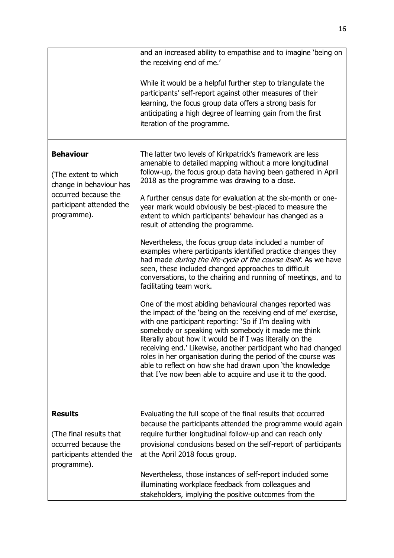|                                                                                                                                        | and an increased ability to empathise and to imagine 'being on<br>the receiving end of me.'<br>While it would be a helpful further step to triangulate the<br>participants' self-report against other measures of their<br>learning, the focus group data offers a strong basis for<br>anticipating a high degree of learning gain from the first<br>iteration of the programme.                                                                                                                                                                                                                                                                                                                                                                                                                                                                                                                                                                                                                                                                                                                                                                                                                                                                                                                                                                                                                          |
|----------------------------------------------------------------------------------------------------------------------------------------|-----------------------------------------------------------------------------------------------------------------------------------------------------------------------------------------------------------------------------------------------------------------------------------------------------------------------------------------------------------------------------------------------------------------------------------------------------------------------------------------------------------------------------------------------------------------------------------------------------------------------------------------------------------------------------------------------------------------------------------------------------------------------------------------------------------------------------------------------------------------------------------------------------------------------------------------------------------------------------------------------------------------------------------------------------------------------------------------------------------------------------------------------------------------------------------------------------------------------------------------------------------------------------------------------------------------------------------------------------------------------------------------------------------|
| <b>Behaviour</b><br>(The extent to which<br>change in behaviour has<br>occurred because the<br>participant attended the<br>programme). | The latter two levels of Kirkpatrick's framework are less<br>amenable to detailed mapping without a more longitudinal<br>follow-up, the focus group data having been gathered in April<br>2018 as the programme was drawing to a close.<br>A further census date for evaluation at the six-month or one-<br>year mark would obviously be best-placed to measure the<br>extent to which participants' behaviour has changed as a<br>result of attending the programme.<br>Nevertheless, the focus group data included a number of<br>examples where participants identified practice changes they<br>had made <i>during the life-cycle of the course itself</i> . As we have<br>seen, these included changed approaches to difficult<br>conversations, to the chairing and running of meetings, and to<br>facilitating team work.<br>One of the most abiding behavioural changes reported was<br>the impact of the 'being on the receiving end of me' exercise,<br>with one participant reporting: 'So if I'm dealing with<br>somebody or speaking with somebody it made me think<br>literally about how it would be if I was literally on the<br>receiving end.' Likewise, another participant who had changed<br>roles in her organisation during the period of the course was<br>able to reflect on how she had drawn upon 'the knowledge<br>that I've now been able to acquire and use it to the good. |
| <b>Results</b><br>(The final results that<br>occurred because the<br>participants attended the<br>programme).                          | Evaluating the full scope of the final results that occurred<br>because the participants attended the programme would again<br>require further longitudinal follow-up and can reach only<br>provisional conclusions based on the self-report of participants<br>at the April 2018 focus group.<br>Nevertheless, those instances of self-report included some<br>illuminating workplace feedback from colleagues and<br>stakeholders, implying the positive outcomes from the                                                                                                                                                                                                                                                                                                                                                                                                                                                                                                                                                                                                                                                                                                                                                                                                                                                                                                                              |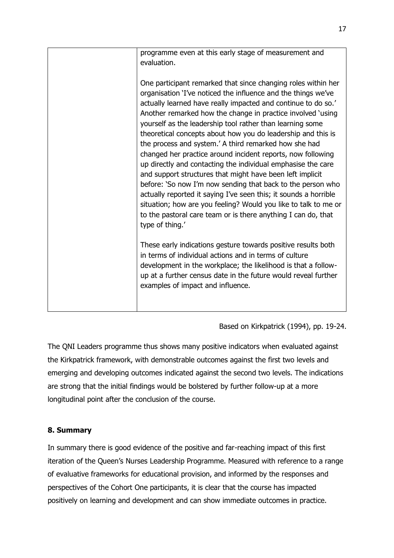|  | programme even at this early stage of measurement and<br>evaluation.                                                                                                                                                                                                                                                                                                                                                                                                                                                                                                                                                                                                                                                                                                                                                                                                                                                                       |
|--|--------------------------------------------------------------------------------------------------------------------------------------------------------------------------------------------------------------------------------------------------------------------------------------------------------------------------------------------------------------------------------------------------------------------------------------------------------------------------------------------------------------------------------------------------------------------------------------------------------------------------------------------------------------------------------------------------------------------------------------------------------------------------------------------------------------------------------------------------------------------------------------------------------------------------------------------|
|  | One participant remarked that since changing roles within her<br>organisation 'I've noticed the influence and the things we've<br>actually learned have really impacted and continue to do so.'<br>Another remarked how the change in practice involved 'using<br>yourself as the leadership tool rather than learning some<br>theoretical concepts about how you do leadership and this is<br>the process and system.' A third remarked how she had<br>changed her practice around incident reports, now following<br>up directly and contacting the individual emphasise the care<br>and support structures that might have been left implicit<br>before: 'So now I'm now sending that back to the person who<br>actually reported it saying I've seen this; it sounds a horrible<br>situation; how are you feeling? Would you like to talk to me or<br>to the pastoral care team or is there anything I can do, that<br>type of thing.' |
|  | These early indications gesture towards positive results both<br>in terms of individual actions and in terms of culture<br>development in the workplace; the likelihood is that a follow-<br>up at a further census date in the future would reveal further<br>examples of impact and influence.                                                                                                                                                                                                                                                                                                                                                                                                                                                                                                                                                                                                                                           |

Based on Kirkpatrick (1994), pp. 19-24.

The QNI Leaders programme thus shows many positive indicators when evaluated against the Kirkpatrick framework, with demonstrable outcomes against the first two levels and emerging and developing outcomes indicated against the second two levels. The indications are strong that the initial findings would be bolstered by further follow-up at a more longitudinal point after the conclusion of the course.

# **8. Summary**

In summary there is good evidence of the positive and far-reaching impact of this first iteration of the Queen's Nurses Leadership Programme. Measured with reference to a range of evaluative frameworks for educational provision, and informed by the responses and perspectives of the Cohort One participants, it is clear that the course has impacted positively on learning and development and can show immediate outcomes in practice.